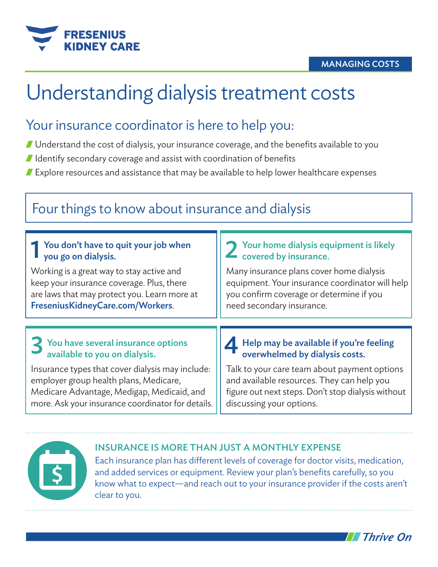

# Understanding dialysis treatment costs

## Your insurance coordinator is here to help you:

- I Understand the cost of dialysis, your insurance coverage, and the benefits available to you
- I Identify secondary coverage and assist with coordination of benefits
- Explore resources and assistance that may be available to help lower healthcare expenses

# Four things to know about insurance and dialysis

| You don't have to quit your job when                                | Your home dialysis equipment is likely                                    |
|---------------------------------------------------------------------|---------------------------------------------------------------------------|
| you go on dialysis.                                                 | covered by insurance.                                                     |
| Working is a great way to stay active and                           | Many insurance plans cover home dialysis                                  |
| keep your insurance coverage. Plus, there                           | equipment. Your insurance coordinator will help                           |
| are laws that may protect you. Learn more at                        | you confirm coverage or determine if you                                  |
| FreseniusKidneyCare.com/Workers.                                    | need secondary insurance.                                                 |
|                                                                     |                                                                           |
| You have several insurance options<br>available to you on dialysis. | Help may be available if you're feeling<br>overwhelmed by dialysis costs. |
| Insurance types that cover dialysis may include:                    | Talk to your care team about payment options                              |
| employer group health plans, Medicare,                              | and available resources. They can help you                                |
| Medicare Advantage, Medigap, Medicaid, and                          | figure out next steps. Don't stop dialysis without                        |
| more. Ask your insurance coordinator for details.                   | discussing your options.                                                  |



#### INSURANCE IS MORE THAN JUST A MONTHLY EXPENSE

Each insurance plan has different levels of coverage for doctor visits, medication, and added services or equipment. Review your plan's benefits carefully, so you know what to expect—and reach out to your insurance provider if the costs aren't clear to you.